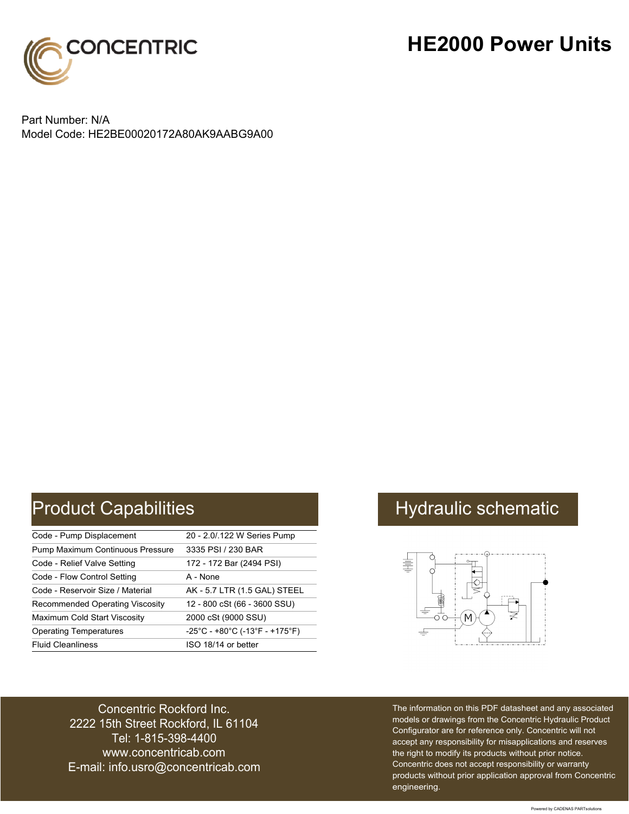

### **HE2000 Power Units**

Part Number: N/A Model Code: HE2BE00020172A80AK9AABG9A00

# Product Capabilities **Hydraulic schematic** Hydraulic schematic

| Code - Pump Displacement               | 20 - 2.0/.122 W Series Pump    |
|----------------------------------------|--------------------------------|
| Pump Maximum Continuous Pressure       | 3335 PSI / 230 BAR             |
| Code - Relief Valve Setting            | 172 - 172 Bar (2494 PSI)       |
| Code - Flow Control Setting            | A - None                       |
| Code - Reservoir Size / Material       | AK - 5.7 LTR (1.5 GAL) STEEL   |
| <b>Recommended Operating Viscosity</b> | 12 - 800 cSt (66 - 3600 SSU)   |
| Maximum Cold Start Viscosity           | 2000 cSt (9000 SSU)            |
| <b>Operating Temperatures</b>          | -25°C - +80°C (-13°F - +175°F) |
| <b>Fluid Cleanliness</b>               | ISO 18/14 or better            |



Concentric Rockford Inc. 2222 15th Street Rockford, IL 61104 Tel: 1-815-398-4400 [www.concentricab.com](www.concentrichydraulics.com) E-mail: [info.usro@concentrica](mailto://info.usro@concentricab.com)b.com The information on this PDF datasheet and any associated models or drawings from the Concentric Hydraulic Product Configurator are for reference only. Concentric will not accept any responsibility for misapplications and reserves the right to modify its products without prior notice. Concentric does not accept responsibility or warranty products without prior application approval from Concentric engineering.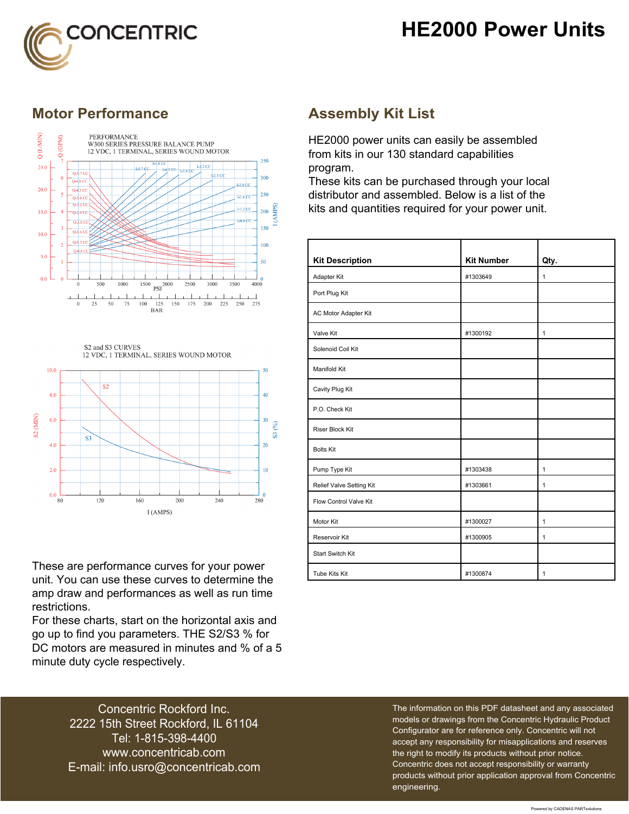## **HE2000 Power Units**



### **Motor Performance Assembly Kit List**



S2 and S3 CURVES 12 VDC, 1 TERMINAL, SERIES WOUND MOTOR



These are performance curves for your power unit. You can use these curves to determine the amp draw and performances as well as run time restrictions.

For these charts, start on the horizontal axis and go up to find you parameters. THE S2/S3 % for DC motors are measured in minutes and % of a 5 minute duty cycle respectively.

HE2000 power units can easily be assembled from kits in our 130 standard capabilities program.

These kits can be purchased through your local distributor and assembled. Below is a list of the kits and quantities required for your power unit.

| <b>Kit Description</b>   | <b>Kit Number</b> | Qty.         |
|--------------------------|-------------------|--------------|
| Adapter Kit              | #1303649          | $\mathbf{1}$ |
| Port Plug Kit            |                   |              |
| AC Motor Adapter Kit     |                   |              |
| Valve Kit                | #1300192          | $\mathbf{1}$ |
| Solenoid Coil Kit        |                   |              |
| Manifold Kit             |                   |              |
| Cavity Plug Kit          |                   |              |
| P.O. Check Kit           |                   |              |
| Riser Block Kit          |                   |              |
| <b>Bolts Kit</b>         |                   |              |
| Pump Type Kit            | #1303438          | 1            |
| Relief Valve Setting Kit | #1303661          | $\mathbf{1}$ |
| Flow Control Valve Kit   |                   |              |
| Motor Kit                | #1300027          | $\mathbf{1}$ |
| Reservoir Kit            | #1300905          | $\mathbf{1}$ |
| <b>Start Switch Kit</b>  |                   |              |
| Tube Kits Kit            | #1300874          | $\mathbf{1}$ |

Concentric Rockford Inc. 2222 15th Street Rockford, IL 61104 Tel: 1-815-398-4400 [www.concentricab.com](www.concentrichydraulics.com) E-mail: [info.usro@concentrica](mailto://info.usro@concentricab.com)b.com The information on this PDF datasheet and any associated models or drawings from the Concentric Hydraulic Product Configurator are for reference only. Concentric will not accept any responsibility for misapplications and reserves the right to modify its products without prior notice. Concentric does not accept responsibility or warranty products without prior application approval from Concentric engineering.